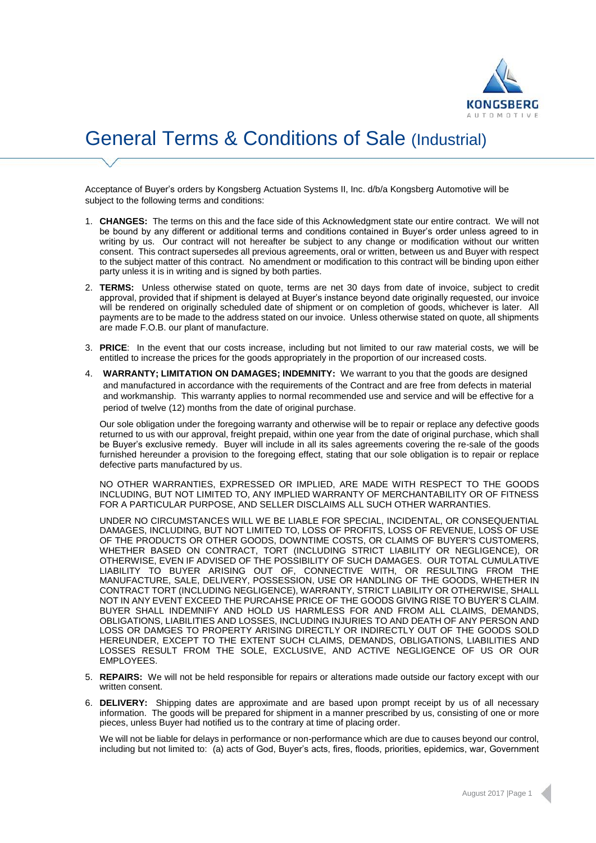

## General Terms & Conditions of Sale (Industrial)

Acceptance of Buyer's orders by Kongsberg Actuation Systems II, Inc. d/b/a Kongsberg Automotive will be subject to the following terms and conditions:

- 1. **CHANGES:** The terms on this and the face side of this Acknowledgment state our entire contract. We will not be bound by any different or additional terms and conditions contained in Buyer's order unless agreed to in writing by us. Our contract will not hereafter be subject to any change or modification without our written consent. This contract supersedes all previous agreements, oral or written, between us and Buyer with respect to the subject matter of this contract. No amendment or modification to this contract will be binding upon either party unless it is in writing and is signed by both parties.
- 2. **TERMS:** Unless otherwise stated on quote, terms are net 30 days from date of invoice, subject to credit approval, provided that if shipment is delayed at Buyer's instance beyond date originally requested, our invoice will be rendered on originally scheduled date of shipment or on completion of goods, whichever is later. All payments are to be made to the address stated on our invoice. Unless otherwise stated on quote, all shipments are made F.O.B. our plant of manufacture.
- 3. **PRICE**: In the event that our costs increase, including but not limited to our raw material costs, we will be entitled to increase the prices for the goods appropriately in the proportion of our increased costs.
- 4. **WARRANTY; LIMITATION ON DAMAGES; INDEMNITY:** We warrant to you that the goods are designed and manufactured in accordance with the requirements of the Contract and are free from defects in material and workmanship. This warranty applies to normal recommended use and service and will be effective for a period of twelve (12) months from the date of original purchase.

Our sole obligation under the foregoing warranty and otherwise will be to repair or replace any defective goods returned to us with our approval, freight prepaid, within one year from the date of original purchase, which shall be Buyer's exclusive remedy. Buyer will include in all its sales agreements covering the re-sale of the goods furnished hereunder a provision to the foregoing effect, stating that our sole obligation is to repair or replace defective parts manufactured by us.

NO OTHER WARRANTIES, EXPRESSED OR IMPLIED, ARE MADE WITH RESPECT TO THE GOODS INCLUDING, BUT NOT LIMITED TO, ANY IMPLIED WARRANTY OF MERCHANTABILITY OR OF FITNESS FOR A PARTICULAR PURPOSE, AND SELLER DISCLAIMS ALL SUCH OTHER WARRANTIES.

UNDER NO CIRCUMSTANCES WILL WE BE LIABLE FOR SPECIAL, INCIDENTAL, OR CONSEQUENTIAL DAMAGES, INCLUDING, BUT NOT LIMITED TO, LOSS OF PROFITS, LOSS OF REVENUE, LOSS OF USE OF THE PRODUCTS OR OTHER GOODS, DOWNTIME COSTS, OR CLAIMS OF BUYER'S CUSTOMERS, WHETHER BASED ON CONTRACT, TORT (INCLUDING STRICT LIABILITY OR NEGLIGENCE), OR OTHERWISE, EVEN IF ADVISED OF THE POSSIBILITY OF SUCH DAMAGES. OUR TOTAL CUMULATIVE LIABILITY TO BUYER ARISING OUT OF, CONNECTIVE WITH, OR RESULTING FROM THE MANUFACTURE, SALE, DELIVERY, POSSESSION, USE OR HANDLING OF THE GOODS, WHETHER IN CONTRACT TORT (INCLUDING NEGLIGENCE), WARRANTY, STRICT LIABILITY OR OTHERWISE, SHALL NOT IN ANY EVENT EXCEED THE PURCAHSE PRICE OF THE GOODS GIVING RISE TO BUYER'S CLAIM. BUYER SHALL INDEMNIFY AND HOLD US HARMLESS FOR AND FROM ALL CLAIMS, DEMANDS, OBLIGATIONS, LIABILITIES AND LOSSES, INCLUDING INJURIES TO AND DEATH OF ANY PERSON AND LOSS OR DAMGES TO PROPERTY ARISING DIRECTLY OR INDIRECTLY OUT OF THE GOODS SOLD HEREUNDER, EXCEPT TO THE EXTENT SUCH CLAIMS, DEMANDS, OBLIGATIONS, LIABILITIES AND LOSSES RESULT FROM THE SOLE, EXCLUSIVE, AND ACTIVE NEGLIGENCE OF US OR OUR EMPLOYEES.

- 5. **REPAIRS:** We will not be held responsible for repairs or alterations made outside our factory except with our written consent.
- 6. **DELIVERY:** Shipping dates are approximate and are based upon prompt receipt by us of all necessary information. The goods will be prepared for shipment in a manner prescribed by us, consisting of one or more pieces, unless Buyer had notified us to the contrary at time of placing order.

We will not be liable for delays in performance or non-performance which are due to causes beyond our control, including but not limited to: (a) acts of God, Buyer's acts, fires, floods, priorities, epidemics, war, Government